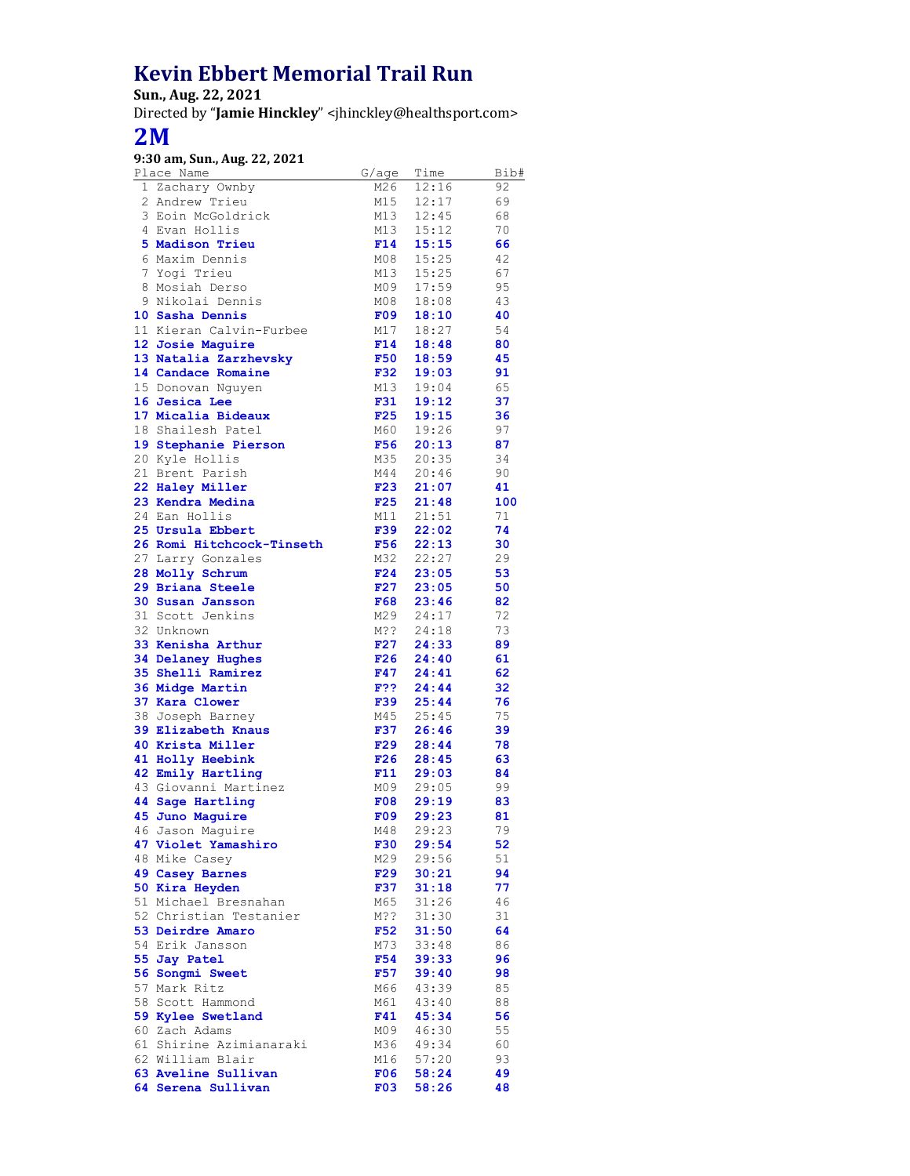## **Kevin Ebbert Memorial Trail Run**

**Sun., Aug. 22, 2021**

Directed by "**Jamie Hinckley**" <jhinckley@healthsport.com>

## **2M**

## **9:30 am, Sun., Aug. 22, 2021**

| Place Name                                     | G/age      | Time               | Bib#     |
|------------------------------------------------|------------|--------------------|----------|
| 1 Zachary Ownby                                | M26        | 12:16              | 92       |
| 2 Andrew Trieu                                 | M15        | 12:17              | 69       |
| 3 Eoin McGoldrick                              |            | M13 12:45          | 68       |
| 4 Evan Hollis                                  | M13        | 15:12              | 70       |
| 5 Madison Trieu                                | F14        | 15:15              | 66       |
| 6 Maxim Dennis                                 | M08        | 15:25              | 42       |
| 7 Yogi Trieu                                   | M13        | 15:25              | 67       |
| 8 Mosiah Derso                                 | M09        | 17:59              | 95       |
| 9 Nikolai Dennis                               | M08        | 18:08              | 43       |
| 10 Sasha Dennis                                | F09        | 18:10              | 40       |
| 11 Kieran Calvin-Furbee                        | M17        | 18:27              | 54       |
| 12 Josie Maguire                               | F14        | 18:48              | 80       |
| 13 Natalia Zarzhevsky                          |            | F50 18:59          | 45       |
| 14 Candace Romaine                             | <b>F32</b> | 19:03              | 91       |
| 15 Donovan Nguyen                              | M13        | 19:04              | 65       |
| 16 Jesica Lee                                  | F31        | 19:12              | 37       |
| 17 Micalia Bideaux                             | F25        | 19:15              | 36       |
| 18 Shailesh Patel                              | M60        | 19:26              | 97       |
| 19 Stephanie Pierson                           | F56        | 20:13              | 87       |
| 20 Kyle Hollis                                 | M35        | 20:35              | 34       |
| 21 Brent Parish                                |            | M44 20:46          | 90       |
| 22 Haley Miller                                |            | $F23 \quad 21:07$  | 41       |
| 23 Kendra Medina                               |            | $F25 \quad 21:48$  | 100      |
| 24 Ean Hollis                                  | M11        | 21:51              | 71       |
| 25 Ursula Ebbert                               | F39        | 22:02              | 74       |
| 26 Romi Hitchcock-Tinseth                      |            | F56 22:13          | 30       |
| 27 Larry Gonzales                              |            | M32 22:27          | 29       |
| 28 Molly Schrum                                | F24        | 23:05              | 53       |
| 29 Briana Steele                               |            | $F27$ 23:05        | 50       |
| 30 Susan Jansson                               |            | $F68$ 23:46        | 82       |
| 31 Scott Jenkins                               |            | M29 24:17          | 72       |
| 32 Unknown                                     |            | M?? 24:18          | 73       |
| 33 Kenisha Arthur                              | F27        | 24:33              | 89       |
| <b>34 Delaney Hughes</b>                       | F26        | 24:40              | 61       |
| 35 Shelli Ramirez                              | F47        | 24:41              | 62       |
| 36 Midge Martin                                |            | $F$ ?? 24:44       | 32       |
| 37 Kara Clower                                 |            | $F39 \quad 25:44$  | 76       |
| 38 Joseph Barney                               | M45        | 25:45              | 75       |
| 39 Elizabeth Knaus                             | <b>F37</b> | 26:46              | 39       |
| 40 Krista Miller                               |            | F29 28:44          | 78       |
| 41 Holly Heebink                               |            | $F26$ 28:45        | 63       |
|                                                |            |                    | 84       |
| 42 Emily Hartling<br>43 Giovanni Martinez      |            | F11 29:03          |          |
| 44 Sage Hartling                               | M09<br>F08 | 29:05<br>29:19     | 99<br>83 |
| 45 Juno Maguire                                | F09        | 29:23              | 81       |
|                                                |            |                    |          |
| 46 Jason Maguire                               |            | M48 29:23<br>29:54 | 79       |
| 47 Violet Yamashiro                            | <b>F30</b> |                    | 52<br>51 |
| 48 Mike Casey                                  | M29<br>F29 | 29:56              |          |
| 49 Casey Barnes<br>50 Kira Heyden              |            | 30:21              | 94       |
|                                                | F37        | 31:18              | 77       |
| 51 Michael Bresnahan<br>52 Christian Testanier | M65        | 31:26              | 46       |
|                                                | M??        | 31:30              | 31       |
| 53 Deirdre Amaro                               | <b>F52</b> | 31:50              | 64       |
| 54 Erik Jansson                                | M73        | 33:48              | 86       |
| 55 Jay Patel                                   | F54        | 39:33              | 96       |
| 56 Songmi Sweet                                | <b>F57</b> | 39:40              | 98       |
| 57 Mark Ritz                                   | M66        | 43:39              | 85       |
| 58 Scott Hammond                               | M61        | 43:40              | 88       |
| 59 Kylee Swetland                              | F41        | 45:34              | 56       |
| 60 Zach Adams                                  | MO 9       | 46:30              | 55       |
| 61 Shirine Azimianaraki                        | M36        | 49:34              | 60       |
| 62 William Blair                               | M16        | 57:20              | 93       |
| 63 Aveline Sullivan                            | F06        | 58:24              | 49       |
| 64 Serena Sullivan                             | <b>F03</b> | 58:26              | 48       |